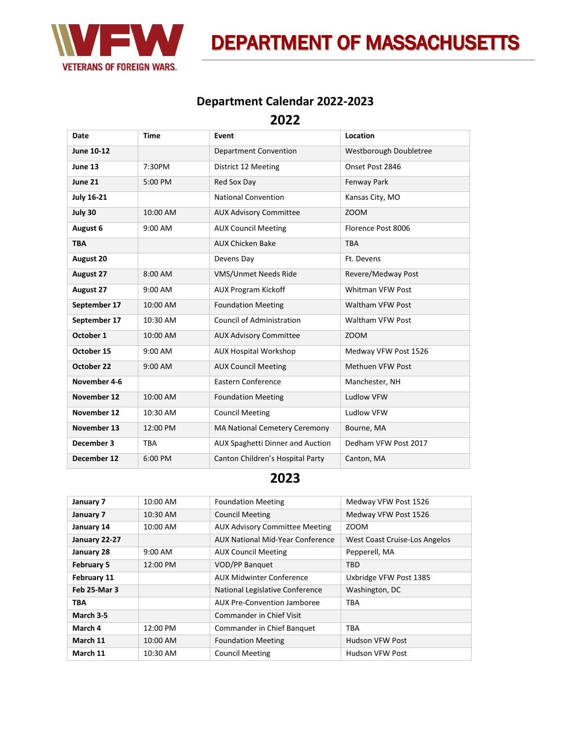

**DEPARTMENT OF MASSACHUSETTS** 

## **Department Calendar 2022-2023**

**2022**

| Date              | <b>Time</b> | Event                                   | Location                |
|-------------------|-------------|-----------------------------------------|-------------------------|
| June 10-12        |             | <b>Department Convention</b>            | Westborough Doubletree  |
| June 13           | 7:30PM      | District 12 Meeting                     | Onset Post 2846         |
| June 21           | 5:00 PM     | Red Sox Day                             | Fenway Park             |
| <b>July 16-21</b> |             | <b>National Convention</b>              | Kansas City, MO         |
| July 30           | 10:00 AM    | <b>AUX Advisory Committee</b>           | ZOOM                    |
| August 6          | 9:00 AM     | <b>AUX Council Meeting</b>              | Florence Post 8006      |
| <b>TBA</b>        |             | <b>AUX Chicken Bake</b>                 | <b>TBA</b>              |
| August 20         |             | Devens Day                              | Ft. Devens              |
| <b>August 27</b>  | 8:00 AM     | VMS/Unmet Needs Ride                    | Revere/Medway Post      |
| <b>August 27</b>  | 9:00 AM     | <b>AUX Program Kickoff</b>              | Whitman VFW Post        |
| September 17      | 10:00 AM    | <b>Foundation Meeting</b>               | Waltham VFW Post        |
| September 17      | 10:30 AM    | <b>Council of Administration</b>        | Waltham VFW Post        |
| October 1         | 10:00 AM    | <b>AUX Advisory Committee</b>           | ZOOM                    |
| October 15        | 9:00 AM     | <b>AUX Hospital Workshop</b>            | Medway VFW Post 1526    |
| October 22        | 9:00 AM     | <b>AUX Council Meeting</b>              | <b>Methuen VFW Post</b> |
| November 4-6      |             | <b>Eastern Conference</b>               | Manchester, NH          |
| November 12       | 10:00 AM    | <b>Foundation Meeting</b>               | Ludlow VFW              |
| November 12       | 10:30 AM    | <b>Council Meeting</b>                  | Ludlow VFW              |
| November 13       | 12:00 PM    | MA National Cemetery Ceremony           | Bourne, MA              |
| December 3        | <b>TBA</b>  | <b>AUX Spaghetti Dinner and Auction</b> | Dedham VFW Post 2017    |
| December 12       | 6:00 PM     | Canton Children's Hospital Party        | Canton, MA              |

## **2023**

| January 7         | 10:00 AM  | <b>Foundation Meeting</b>             | Medway VFW Post 1526          |
|-------------------|-----------|---------------------------------------|-------------------------------|
| January 7         | 10:30 AM  | <b>Council Meeting</b>                | Medway VFW Post 1526          |
| January 14        | 10:00 AM  | <b>AUX Advisory Committee Meeting</b> | <b>ZOOM</b>                   |
| January 22-27     |           | AUX National Mid-Year Conference      | West Coast Cruise-Los Angelos |
| January 28        | $9:00$ AM | <b>AUX Council Meeting</b>            | Pepperell, MA                 |
| <b>February 5</b> | 12:00 PM  | <b>VOD/PP Banquet</b>                 | <b>TBD</b>                    |
| February 11       |           | <b>AUX Midwinter Conference</b>       | Uxbridge VFW Post 1385        |
| Feb 25-Mar 3      |           | National Legislative Conference       | Washington, DC                |
| <b>TBA</b>        |           | AUX Pre-Convention Jamboree           | <b>TBA</b>                    |
| March 3-5         |           | Commander in Chief Visit              |                               |
| March 4           | 12:00 PM  | Commander in Chief Banquet            | <b>TBA</b>                    |
| March 11          | 10:00 AM  | <b>Foundation Meeting</b>             | <b>Hudson VFW Post</b>        |
| March 11          | 10:30 AM  | <b>Council Meeting</b>                | Hudson VFW Post               |